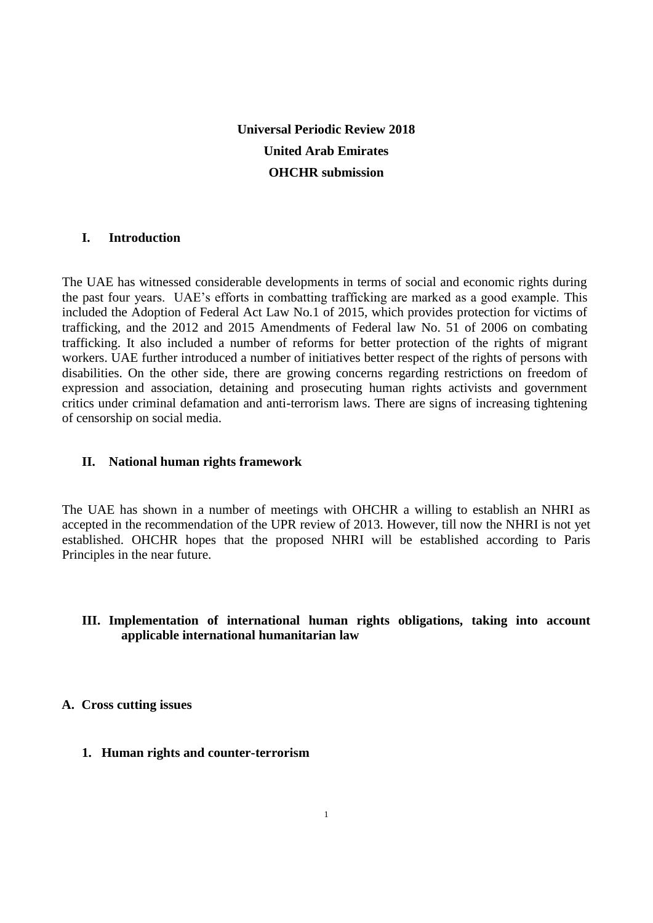# **Universal Periodic Review 2018 United Arab Emirates OHCHR submission**

# **I. Introduction**

The UAE has witnessed considerable developments in terms of social and economic rights during the past four years. UAE's efforts in combatting trafficking are marked as a good example. This included the Adoption of Federal Act Law No.1 of 2015, which provides protection for victims of trafficking, and the 2012 and 2015 Amendments of Federal law No. 51 of 2006 on combating trafficking. It also included a number of reforms for better protection of the rights of migrant workers. UAE further introduced a number of initiatives better respect of the rights of persons with disabilities. On the other side, there are growing concerns regarding restrictions on freedom of expression and association, detaining and prosecuting human rights activists and government critics under criminal defamation and anti-terrorism laws. There are signs of increasing tightening of censorship on social media.

#### **II. National human rights framework**

The UAE has shown in a number of meetings with OHCHR a willing to establish an NHRI as accepted in the recommendation of the UPR review of 2013. However, till now the NHRI is not yet established. OHCHR hopes that the proposed NHRI will be established according to Paris Principles in the near future.

# **III. Implementation of international human rights obligations, taking into account applicable international humanitarian law**

#### **A. Cross cutting issues**

**1. Human rights and counter-terrorism**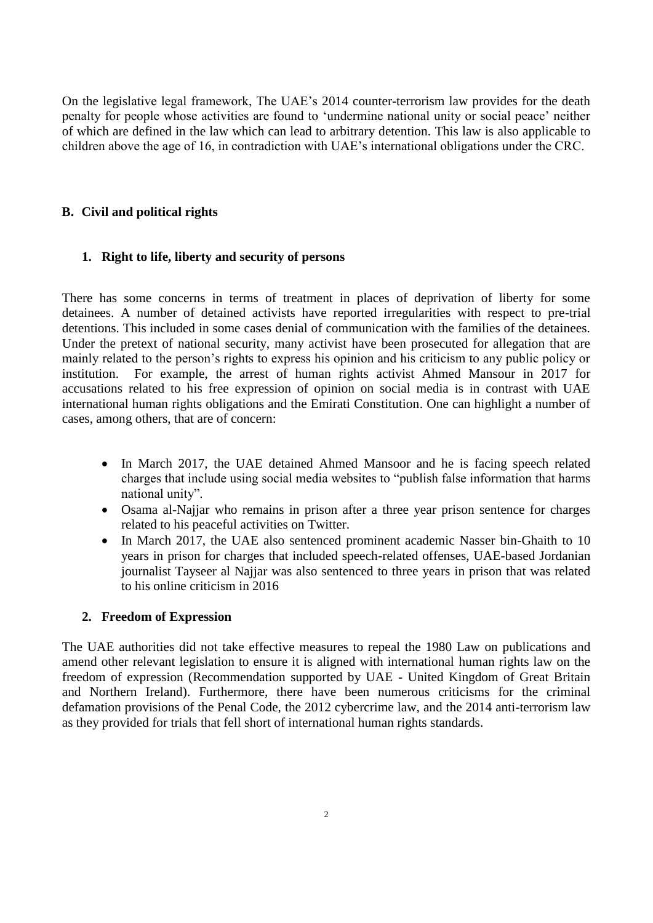On the legislative legal framework, The UAE's 2014 counter-terrorism law provides for the death penalty for people whose activities are found to 'undermine national unity or social peace' neither of which are defined in the law which can lead to arbitrary detention. This law is also applicable to children above the age of 16, in contradiction with UAE's international obligations under the CRC.

# **B. Civil and political rights**

# **1. Right to life, liberty and security of persons**

There has some concerns in terms of treatment in places of deprivation of liberty for some detainees. A number of detained activists have reported irregularities with respect to pre-trial detentions. This included in some cases denial of communication with the families of the detainees. Under the pretext of national security, many activist have been prosecuted for allegation that are mainly related to the person's rights to express his opinion and his criticism to any public policy or institution. For example, the arrest of human rights activist Ahmed Mansour in 2017 for accusations related to his free expression of opinion on social media is in contrast with UAE international human rights obligations and the Emirati Constitution. One can highlight a number of cases, among others, that are of concern:

- In March 2017, the UAE detained Ahmed Mansoor and he is facing speech related charges that include using social media websites to "publish false information that harms national unity".
- Osama al-Najjar who remains in prison after a three year prison sentence for charges related to his peaceful activities on Twitter.
- In March 2017, the UAE also sentenced prominent academic Nasser bin-Ghaith to 10 years in prison for charges that included speech-related offenses, UAE-based Jordanian journalist Tayseer al Najjar was also sentenced to three years in prison that was related to his online criticism in 2016

#### **2. Freedom of Expression**

The UAE authorities did not take effective measures to repeal the 1980 Law on publications and amend other relevant legislation to ensure it is aligned with international human rights law on the freedom of expression (Recommendation supported by UAE - United Kingdom of Great Britain and Northern Ireland). Furthermore, there have been numerous criticisms for the criminal defamation provisions of the Penal Code, the 2012 cybercrime law, and the 2014 anti-terrorism law as they provided for trials that fell short of international human rights standards.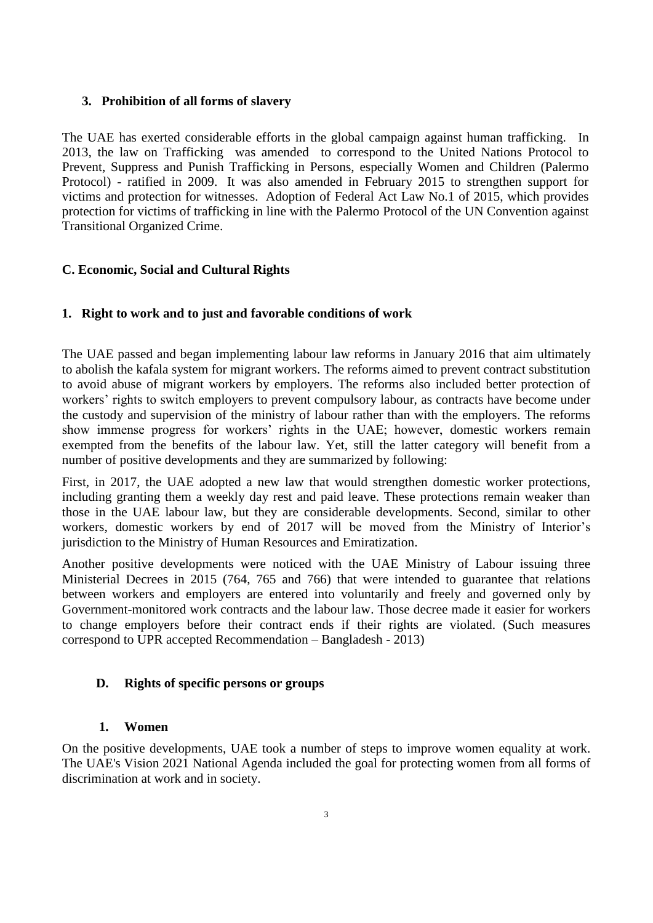## **3. Prohibition of all forms of slavery**

The UAE has exerted considerable efforts in the global campaign against human trafficking. In 2013, the law on Trafficking was amended to correspond to the United Nations Protocol to Prevent, Suppress and Punish Trafficking in Persons, especially Women and Children (Palermo Protocol) - ratified in 2009. It was also amended in February 2015 to strengthen support for victims and protection for witnesses. Adoption of Federal Act Law No.1 of 2015, which provides protection for victims of trafficking in line with the Palermo Protocol of the UN Convention against Transitional Organized Crime.

# **C. Economic, Social and Cultural Rights**

## **1. Right to work and to just and favorable conditions of work**

The UAE passed and began implementing labour law reforms in January 2016 that aim ultimately to abolish the kafala system for migrant workers. The reforms aimed to prevent [contract substitution](http://www.aljazeera.com/news/2015/09/uae-announces-labour-reforms-protect-foreign-workers-150929143336000.html) to avoid abuse of migrant workers by employers. The reforms also included better protection of workers' rights to switch employers to prevent compulsory labour, as contracts have become under the custody and supervision of the ministry of labour rather than with the employers. The reforms show immense progress for workers' rights in the UAE; however, domestic workers remain exempted from the benefits of the labour law. Yet, still the latter category will benefit from a number of positive developments and they are summarized by following:

First, in 2017, the UAE adopted a new law that would strengthen domestic worker protections, including granting them a weekly day rest and paid leave. These protections remain weaker than those in the UAE labour law, but they are considerable developments. Second, similar to other workers, domestic workers by end of 2017 will be moved from the Ministry of Interior's jurisdiction to the Ministry of Human Resources and Emiratization.

Another positive developments were noticed with the UAE Ministry of Labour issuing three Ministerial Decrees in 2015 (764, 765 and 766) that were intended to guarantee that relations between workers and employers are entered into voluntarily and freely and governed only by Government-monitored work contracts and the labour law. Those decree made it easier for workers to change employers before their contract ends if their rights are violated. (Such measures correspond to UPR accepted Recommendation – Bangladesh - 2013)

#### **D. Rights of specific persons or groups**

#### **1. Women**

On the positive developments, UAE took a number of steps to improve women equality at work. The UAE's Vision 2021 National Agenda included the goal for protecting women from all forms of discrimination at work and in society.